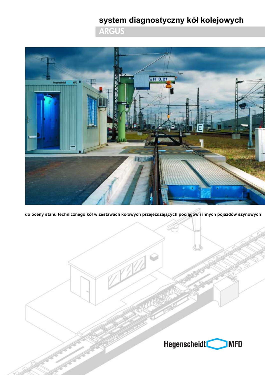# system diagnostyczny kół kolejowych

**ARGUS** 



do oceny stanu technicznego kół w zestawach kołowych przejeżdżających pociągów i innych pojazdów szynowych

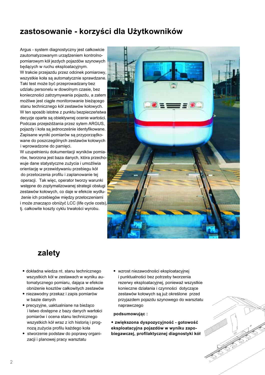## zastosowanie - korzyści dla Użytkowników

Argus - system diagnostyczny jest całkowicie zautomatyzowanym urządzeniem kontrolnopomiarowym kół jezdych pojazdów szynowych bedacych w ruchu eksploatacyjnym. W trakcie przejązdu przez odcinek pomiarowy. wszystkie koła są automatycznie sprawdzane. Taki test może być przeprowadzany bez udziału personelu w dowolnym czasie, bez konieczności zatrzymywania pojazdu, a zatem możliwe jest cjacłe monitorowanie bieżacego stanu technicznego kół zestawów kołowych. W ten sposób istotne z punktu bezpieczeństwa decyzje oparte są obiektywnej ocenie wartości. Podczas przejeżdżania przez sytem ARGUS, pojazdy i koła są jednocześnie identyfikowane. Zapisane wyniki pomiarów sa przyporzadkowane do poszczególnych zestawów kołowych i wprowadzone do pamieci.

W uzupełnieniu dokumentacji wyników pomiarów, tworzona jest baza danych, która przechowuje dane statystyczne zużycia i umożliwia orientacje w przewidywaniu przebiegu kół do przetoczenia profilu i zaplanowanie tej operacji. Tak więc, operator tworzy warunki wstępne do zoptymalizowanej strategii obsługi zestawów kołowych, co daje w efekcie wydłużenie ich przebiegów między przetoczeniami i może znacząco obniżyć LCC (life cycle costs), tj. całkowite koszty cyklu trwałości wyrobu.



### zalety

- · dokładna wiedza nt. stanu technicznego wszystkich kół w zestawach w wyniku automatycznego pomiaru, dająca w efekcie obniżenie kosztów całkowitych zestawów
- · niezawodny przekaz i zapis pomiarów w bazie danych
- · precyzyjne, uaktualniane na bieżąco i łatwo dostępne z bazy danych wartości pomiarów i ocena stanu technicznego wszystkich kół wraz z ich historia i prognozą zużycia profilu każdego koła
- stworzenie podstaw do poprawy organizacji i planowej pracy warsztatu
- wzrost niezawodności eksploatacyjnej i punktualności bez potrzeby tworzenia rezerwy eksploatacyjnej, ponieważ wszystkie konieczne działania i czynności dotyczące zestawów kołowych są już określone przed przyjazdem pojazdu szynowego do warsztatu naprawczego

podsumowując:

· zwiększona dyspozycyjność - gotowość eksploatacyjna pojazdów w wyniku zapobiegawczej, profilaktycznej diagnostyki kół

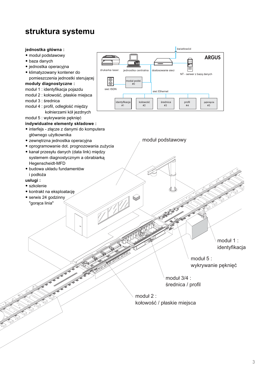## struktura systemu

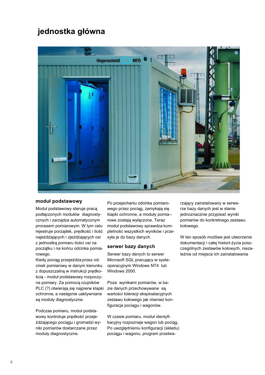# jednostka główna



#### moduł podstawowy

Moduł podstawowy steruje pracą podłączonych modułów diagnostycznych i zarządza automatycznym procesem pomiarowym. W tym celu rejestruje porządek, prędkość i ilość najeżdżających i zjeżdżających osi z jednostką pomiaru ilości osi na początku i na końcu odcinka pomiarowego.

Kiedy pociąg przejeżdża przez odcinek pomiarowy w danym kierunku z dopuszczalną w instrukcji prędkością - moduł podstawowy rozpoczyna pomiary. Za pomocą czujników PLC (?) otwierają się najpierw klapki ochronne, a następnie uaktywniane są moduły diagnostyczne.

Podczas pomiaru, moduł podstawowy kontroluje prędkość przejeżdżającego pociągu i gromadzi wyniki pomiarów dostarczane przez moduły diagnostyczne.

Po przejechaniu odcinka pomiarowego przez pociąg, zamykają się klapki ochronne, a moduły pomia-rowe zostają wyłączone. Teraz moduł podstawowy sprawdza kompletność wszystkich wyników i przesyła je do bazy danych.

#### serwer bazy danych

Serwer bazy danych to serwer Microsoft SQL pracujący w systeoperacyjnym Windows NT4 lub Windows 2000.

Poza wynikami pomiarów, w bazie danych przechowywane są wartości toleracji eksploatacyjnych zestawu kołowego jak również konfiguracja pociągu i wagonów.

W czasie pomiaru, moduł identyfikacyjny rozpoznaje wagon lub pociąg. Po uwzględnieniu konfiguracji (składu) pociągu i wagonu, program przetwa-

rzający zainstalowany w serwerze bazy danych jest w stanie jednoznacznie przypisać wyniki pomiarów do konkretnego zestawu kołowego.

W ten sposób możliwe jest utworzenie dokumentacji i całej historii życia poszczególnych zestawów kołowych, niezależnie od miejsca ich zainstalowania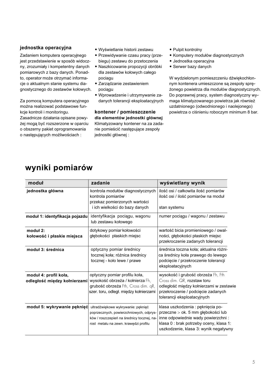### jednostka operacyjna

Zadaniem komputera operacyjnego jest przedstawienie w sposób widoczny, zrozumiały i kompetentny danych pomiarowych z bazy danych. Ponadto, operator może otrzymać informacie o aktualnym stanie systemu diagnostycznego do zestawów kołowych.

Za pomoca komputera operacvinego można realizować podstawowe funkcje kontroli i monitoringu. Zasadnicze działania opisane powyżej mogą być rozszerzone w oparciu o obszerny pakiet oprogramowania o nastepujących możliwościąch:

- · Wyświetlanie historii zestawu
- · Przewidywanie czasu pracy (przebiegu) zestawu do przetoczenia
- · Naszkicowanie propozycji obróbki dla zestawów kołowych całego pociagu
- · Zarządzanie zestawieniem pociagu
- · Wprowadzenie i utrzymywanie zadanych tolerancji eksploatacyjnych

kontener / pomieszczenie dla elementów jednostki głównej Klimatyzowany kontener na za zadanie pomieścić następujące zespoły iednostki ałównei:

- Pulpit kontrolny
- Komputery modułów diagnostycznych
- · Jednostka operacyjna
- Serwer bazy danych

W wydzielonym pomieszczeniu dźwiękochłonnym kontenera umieszczone sa zespoły spreżonego powietrza dla modułów diagnostycznych. Do poprawnej pracy, system diagnostyczny wymaga klimatyzowanego powietrza jak również uzdatnionego (odwodnionego i naoleionego) powietrza o ciśnieniu roboczym minimum 8 bar.

| moduł                                                 | zadanie                                                                                                                                                              | wyświetlany wynik                                                                                                                                                                                 |  |
|-------------------------------------------------------|----------------------------------------------------------------------------------------------------------------------------------------------------------------------|---------------------------------------------------------------------------------------------------------------------------------------------------------------------------------------------------|--|
| jednostka główna                                      | kontrola modułów diagnostycznych<br>kontrola pomiarów<br>przekaz pomierzonych wartości<br>i ich wielkości do bazy danych                                             | ilość osi / całkowita ilość pomiarów<br>ilość osi / ilość pomiarów na moduł<br>stan systemu                                                                                                       |  |
| moduł 1: identyfikacja pojazdu                        | identyfikacja pociągu, wagonu<br>lub zestawu kołowego                                                                                                                | numer pociągu / wagonu / zestawu                                                                                                                                                                  |  |
| moduł 2:<br>kołowość i płaskie miejsca                | dotykowy pomiar kołowości<br>głębokości płaskich miejsc                                                                                                              | wartość bicia promieniowego / owal-<br>ności, głębokości płaskich miejsc<br>przekroczenie zadanych tolerancji                                                                                     |  |
| moduł 3: średnica                                     | optyczny pomiar średnicy<br>tocznej koła; różnica średnicy<br>tocznej - koło lewe / prawe                                                                            | średnica toczna koła; aktualna różni-<br>ca średnicy koła prawego do lewego<br>podcięcie / przekroczenie tolerancji<br>eksploatacyjnych                                                           |  |
| moduł 4: profil koła,<br>odległość między kołnierzami | optyczny pomiar profilu koła,<br>wysokość obrzeża / kołnierza Fh,<br>grubość obrzeża Fth, Cross dim. qR,<br>szer. toru, odległ. między kołnierzami                   | wysokość i grubość obrzeża Fh, Fth<br>Cross dim. QR, rozstaw toru<br>odległość między kołnierzami w zestawie<br>przekroczenie / podcięcie zadanych<br>tolerancji eksploatacyjnych                 |  |
| moduł 5: wykrywanie pęknięć                           | ultradźwiękowe wykrywanie: pęknięć<br>poprzecznych, powierzchniowych, odprys-<br>ków / roszczepień na średnicy tocznej, na-<br>rost metalu na zewn. krawędzi profilu | klasa uszkodzenia : pęknięcia po-<br>przeczne > ok. 5 mm głębokości lub<br>inne odpowiednie wady powierzchni:<br>klasa 0 : brak potrzeby oceny, klasa 1:<br>uszkodzenie, klasa 3: wynik negatywny |  |

## wyniki pomiarów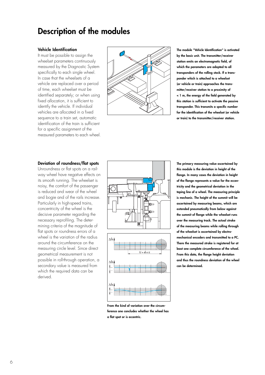# **Description of the modules**

#### **Vehicle Identification**

It must be possible to assign the wheelset parameters continuously measured by the Diagnostic System specifically to each single wheel. In case that the wheelsets of a vehicle are replaced over a period of time, each wheelset must be identified separately; or when using fixed allocation, it is sufficient to identify the vehicle. If individual vehicles are allocated in a fixed sequence to a train set, automatic identification of the train is sufficient for a specific assignment of the measured parameters to each wheel.



**The module "Vehicle Identification" is activated by the basic unit. The transmitter/receiver station emits an electromagnetic field, of which the parameters are adapted to all transponders of the rolling stock. If a trans ponder which is attached to a wheelset (or vehicle or train) approaches the trans mitter/receiver station to a proximity of < 1 m, the energy of the field generated by this station is sufficient to activate the passive transponder. This transmits a specific number for the identification of the wheelset (or vehicle or train) to the transmitter/receiver station.**

#### **Deviation of roundness/flat spots**

Unroundness or flat spots on a rail way wheel have negative effects on its smooth running. The wheelset is noisy, the comfort of the passenger is reduced and wear of the wheel and bogie and of the rails increase. Particularly in high-speed trains, concentricity of the wheel is the decisive parameter regarding the necessary reprofiling. The deter mining criteria of the magnitude of flat spots or roundness errors of a wheel is the variation of the radius around the circumference on the measuring circle level. Since direct geometrical measurement is not possible in roll-through operation, a secondary value is measured from which the required data can be derived.





**The primary measuring value ascertained by this module is the deviation in height of the flange. In many cases the deviation in height of the flange represents a value for the eccen tricity and the geometrical deviation in the taping line of a wheel. The measuring principle is mechanic. The height of the summit will be ascertained by measuring beams, which are extended pneumatically from below against the summit of flange while the wheelset runs over the measuring track. The actual stroke of the measuring beams while rolling through of the wheelset is ascertained by electro mechanical encoders and transmitted to a PC. There the measured stroke is registered for at least one complete circumference of the wheel. From this data, the flange height deviation and thus the roundness deviation of the wheel can be determined.**

**From the kind of variation over the circum ference one concludes whether the wheel has a flat spot or is eccentric.**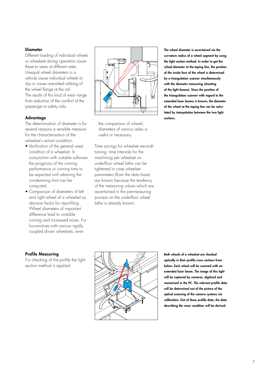### **Diameter**

Different loading of individual wheels or wheelsets during operation cause these to wear at different rates. Unequal wheel diameters in a vehicle cause individual wheels to slip or cause onesided rubbing of the wheel flange at the rail. The results of this kind of wear range from reduction of the comfort of the passenger to safety risks.

### **Advantage**

The determination of diameter is for several reasons a sensible measure for the characterisation of the wheelset's actual condition:

- Verification of the general wear condition of a wheelset. In conjunction with suitable software the prognosis of the running performance or running time to be expected until attaining the condemning limit can be computed.
- Comparison of diameters of left and right wheel of a wheelset as decisive factor for reprofiling. Wheel diameters of important difference lead to unstable running and increased noise. For locomotives with various rigidly coupled driven wheelsets, even

### **Profile Measuring**

For checking of the profile the light section method is applied.



the comparison of wheels' diameters of various axles is useful or necessary.

Time savings for wheelset recondi tioning: time intervals for the machining per wheelset on underfloor wheel lathe can be tightened in case wheelset parameters (from the data base) are known because the tendency of the measuring values which are ascertained in the premeasuring process on the underfloor wheel lathe is already known.

.

**The wheel diameter is ascertained via the curvature radius of a wheel segment by using the light section method. In order to get the wheel diameter at the taping line, the position of the inside face of the wheel is determined by a triangulation scanner simultaneously with the diameter measuring (shooting of the light beams). Since the position of the triangulation scanner with regard to the extended laser beams is known, the diameter of the wheel at the taping line can be calcu lated by interpolation between the two light sections.**



**Both wheels of a wheelset are checked optically in their profile cross sections from below. Each wheel will be scanned with an extended laser beam. The image of this light will be captured by cameras, digitised and memorised in the PC. The relevant profile data will be determined out of the picture of the optical scanning of the camera systems via calibration. Out of these profile data, the data describing the wear condition will be derived.**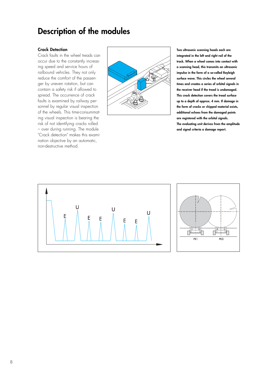## **Description of the modules**

#### **Crack Detection**

Crack faults in the wheel treads can occur due to the constantly increas ing speed and service hours of railbound vehicles. They not only reduce the comfort of the passen ger by uneven rotation, but can contain a safety risk if allowed to spread. The occurrence of crack faults is examined by railway per sonnel by regular visual inspection of the wheels. This timeconsummat ing visual inspection is bearing the risk of not identifying cracks rolled – over during running. The module "Crack detection" makes this exami nation objective by an automatic, nondestructive method.



**Two ultrasonic scanning heads each are integrated in the left and right rail of the track. When a wheel comes into contact with a scanning head, this transmits an ultrasonic impulse in the form of a socalled Rayleigh surface wave. This circles the wheel several times and creates a series of orbital signals in the receiver head if the tread is undamaged. This crack detection covers the tread surface up to a depth of approx. 4 mm. If damage in the form of cracks or chipped material exists, additional echoes from the damaged points are registered with the orbital signals. The evaluating unit derives from the amplitude and signal criteria a damage report.**



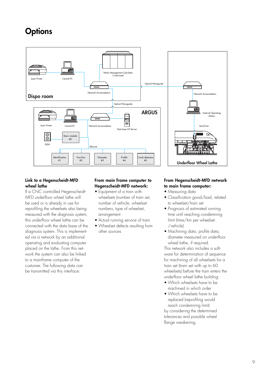# **Options**



### Link to a Hegenscheidt-MFD **wheel lathe**

If a CNC controlled Hegenscheidt MFD underfloor wheel lathe will be used or is already in use for reprofiling the wheelsets also being measured with the diagnosis system, this underfloor wheel lathe can be connected with the data base of the diagnosis system. This is implement ed via a network by an additional operating and evaluating computer placed on the lathe. From this net work the system can also be linked to a mainframe computer of the customer. The following data can be transmitted via this interface:

### **From main frame computer to Hegenscheidt-MFD network:**

- Equipment of a train with wheelsets (number of train set,
- number of vehicle, wheelset numbers, type of wheelset, arrangement
- Actual running service of train
- Wheelset defects resulting from other sources

### **From Hegenscheidt-MFD network to main frame computer:**

- Measuring data
- Classification good/bad, related to wheelset/train set
- Prognosis of estimated running time until reaching condemning limit (time/km per wheelset /vehicle)
- Machining data, profile data, diameter measured on underfloor wheel lathe, if required.

This network also includes a soft ware for determination of sequence for machining of all wheelsets for a train set (train set with up to 60 wheelsets) before the train enters the underfloor wheel lathe building:

- Which wheelsets have to be machined in which order
- Which wheelsets have to be replaced (reprofiling would reach condemning limit) by considering the determined tolerances and possible wheel flange weakening.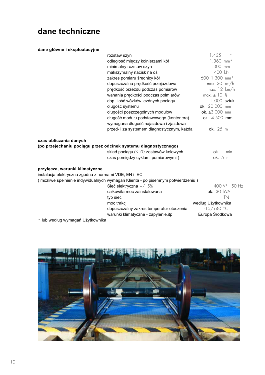# dane techniczne

### dane główne i eksploatacyjne

|                                                                                         | rozstaw szyn                                                                                                                                   | $1.435$ mm <sup>*</sup>            |
|-----------------------------------------------------------------------------------------|------------------------------------------------------------------------------------------------------------------------------------------------|------------------------------------|
|                                                                                         | odległość między kołnierzami kół                                                                                                               | $1.360$ mm*                        |
|                                                                                         | minimalny rozstaw szyn                                                                                                                         | $1.300$ mm                         |
|                                                                                         | makszymalny nacisk na oś                                                                                                                       | 400 kN                             |
|                                                                                         | zakres pomiaru średnicy kół                                                                                                                    | 600-1.300 mm*                      |
|                                                                                         | dopuszczalna prędkość przejazdowa                                                                                                              | max. 30 km/h                       |
|                                                                                         | prędkość przezdu podczas pomiarów                                                                                                              | max. 12 km/h                       |
|                                                                                         | wahania prędkości podczas polmiarów                                                                                                            | $max. \pm 10\%$                    |
|                                                                                         | dop. ilość wózków jezdnych pociągu                                                                                                             | 1.000 sztuk                        |
|                                                                                         | długość systemu                                                                                                                                | ok. 20.000 mm                      |
|                                                                                         | długości poszczególnych modułów                                                                                                                | ok. ≤3.000 mm                      |
|                                                                                         | długość modułu podstawowego (kontenera)                                                                                                        | ok. 4.500 mm                       |
|                                                                                         | wymagana długość najazdowa i zjazdowa                                                                                                          |                                    |
|                                                                                         | przed- i za systemem diagnostycznym, każda                                                                                                     | ok. 25 m                           |
| czas obliczania danych                                                                  | (po przejechaniu pociągu przez odcinek systemu diagnostycznego)<br>skład pociągu (≤ 70 zestawów kołowych<br>czas pomiędzy cyklami pomiarowymi) | $ok.$ $\mid$ min<br>ok. $5$ min    |
| przyłącza, warunki klimatyczne<br>instalacja elektryczna zgodna z normami VDE, EN i IEC |                                                                                                                                                |                                    |
|                                                                                         | (możliwe spełnienie indywidualnych wymagań Klienta - po pisemnym potwierdzeniu)<br>Sieć elektryczna $+/- 5\%$                                  | 400 $V^*$ 50 Hz                    |
|                                                                                         | całkowita moc zainstalowana                                                                                                                    | ok. 30 kVA                         |
|                                                                                         |                                                                                                                                                | TN                                 |
|                                                                                         | typ sieci<br>moc trakcji                                                                                                                       |                                    |
|                                                                                         |                                                                                                                                                | według Użytkownika<br>$-15/+40$ °C |
|                                                                                         | dopuszczalny zakres temperatur otoczenia                                                                                                       | Europa Środkowa                    |
| * lub według wymagań Użytkownika                                                        | warunki klimatyczne - zapylenie, itp.                                                                                                          |                                    |
|                                                                                         |                                                                                                                                                |                                    |



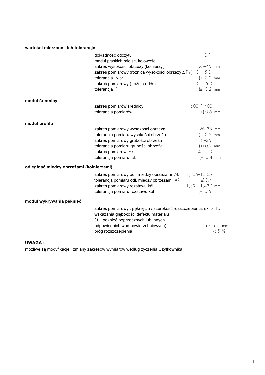### wartości mierzone i ich tolerancje

|                                          | dokładność odczytu                                                                                                                                      | $0.1$ mm         |              |
|------------------------------------------|---------------------------------------------------------------------------------------------------------------------------------------------------------|------------------|--------------|
|                                          | moduł płaskich miejsc, kołowości                                                                                                                        |                  |              |
|                                          | zakres wysokości obrzeży (kołnierzy)                                                                                                                    | $25 - 45$ mm     |              |
|                                          | zakres pomiarowy (różnica wysokości obrzeży ∆ Fh) 0.1-5.0 mm                                                                                            |                  |              |
|                                          | tolerancja $\Delta$ Sh                                                                                                                                  | $(\pm)$ 0.2 mm   |              |
|                                          | zakres pomiarowy (różnica Fh)                                                                                                                           | $0.1 - 5.0$ mm   |              |
|                                          | tolerancja PfH                                                                                                                                          | $(\pm)$ 0.2 mm   |              |
| moduł średnicy                           |                                                                                                                                                         |                  |              |
|                                          | zakres pomiarów średnicy                                                                                                                                | 600-1,400 mm     |              |
|                                          | tolerancja pomiarów                                                                                                                                     | $(\pm)$ 0.6 mm   |              |
| moduł profilu                            |                                                                                                                                                         |                  |              |
|                                          | zakres pomiarowy wysokości obrzeża                                                                                                                      | $26 - 38$ mm     |              |
|                                          | tolerancja pomiaru wysokości obrzeża                                                                                                                    | $(\pm)$ 0.2 mm   |              |
|                                          | zakres pomiarowy grubości obrzeża                                                                                                                       | 18-36 mm         |              |
|                                          | tolerancja pomiaru grubości obrzeża                                                                                                                     | $(\pm)$ 0.2 mm   |              |
|                                          | zakres pomiarów qR                                                                                                                                      | $4.5 - 13$ mm    |              |
|                                          | tolerancja pomiaru qR                                                                                                                                   | $(\pm)$ 0.4 mm   |              |
| odległość między obrzeżami (kołnierzami) |                                                                                                                                                         |                  |              |
|                                          | zakres pomiarowy odl. miedzy obrzeżami AR                                                                                                               | 1,355-1,365 mm   |              |
|                                          | tolerancja pomiaru odl. miedzy obrzeżami AR                                                                                                             | $(\pm)$ 0.4 mm   |              |
|                                          | zakres pomiarowy rozstawu kół                                                                                                                           | $1,391-1,437$ mm |              |
|                                          | tolerancja pomiaru rozstawu kół                                                                                                                         | $(\pm)$ 0.5 mm   |              |
| moduł wykrywania peknięć                 |                                                                                                                                                         |                  |              |
|                                          | zakres pomiarowy : pęknięcia / szerokość rozszczepienia, ok. > 10 mm<br>wskazania głębokości defektu materiału<br>(t.j. pęknięć poprzecznych lub innych |                  |              |
|                                          | odpowiednich wad powierzchniowych)                                                                                                                      |                  | $ok. > 5$ mm |
|                                          | próg rozszczepienia                                                                                                                                     |                  | $< 5 \%$     |

### **800 UWAGA:**

możliwe są modyfikacje i zmiany zakresów wymiarów według życzenia Użytkownika